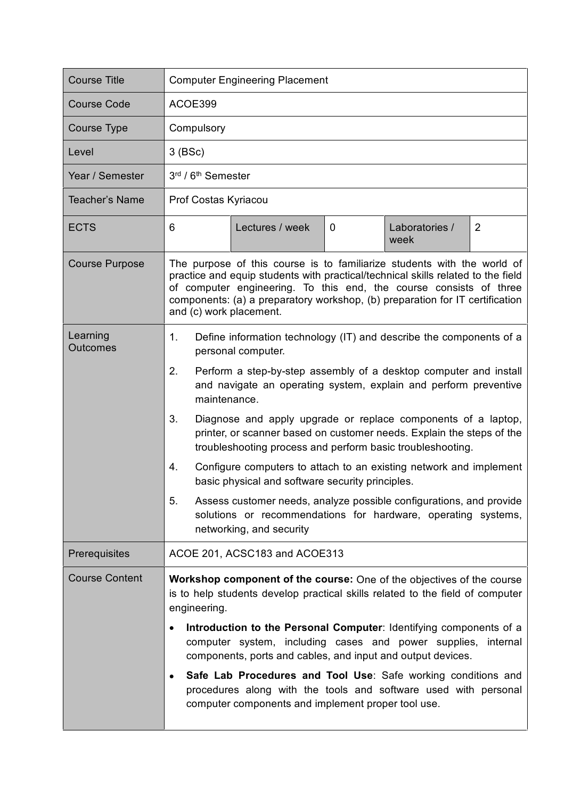| <b>Course Title</b>         | <b>Computer Engineering Placement</b>                                                                                                                                                                                                                                                                                                                                                                                                                                                                                                                                                                                                                                                                                                                                                  |  |  |  |
|-----------------------------|----------------------------------------------------------------------------------------------------------------------------------------------------------------------------------------------------------------------------------------------------------------------------------------------------------------------------------------------------------------------------------------------------------------------------------------------------------------------------------------------------------------------------------------------------------------------------------------------------------------------------------------------------------------------------------------------------------------------------------------------------------------------------------------|--|--|--|
| <b>Course Code</b>          | ACOE399                                                                                                                                                                                                                                                                                                                                                                                                                                                                                                                                                                                                                                                                                                                                                                                |  |  |  |
| Course Type                 | Compulsory                                                                                                                                                                                                                                                                                                                                                                                                                                                                                                                                                                                                                                                                                                                                                                             |  |  |  |
| Level                       | $3$ (BSc)                                                                                                                                                                                                                                                                                                                                                                                                                                                                                                                                                                                                                                                                                                                                                                              |  |  |  |
| Year / Semester             | 3rd / 6 <sup>th</sup> Semester                                                                                                                                                                                                                                                                                                                                                                                                                                                                                                                                                                                                                                                                                                                                                         |  |  |  |
| Teacher's Name              | Prof Costas Kyriacou                                                                                                                                                                                                                                                                                                                                                                                                                                                                                                                                                                                                                                                                                                                                                                   |  |  |  |
| <b>ECTS</b>                 | 6<br>$\overline{2}$<br>Lectures / week<br>0<br>Laboratories /<br>week                                                                                                                                                                                                                                                                                                                                                                                                                                                                                                                                                                                                                                                                                                                  |  |  |  |
| <b>Course Purpose</b>       | The purpose of this course is to familiarize students with the world of<br>practice and equip students with practical/technical skills related to the field<br>of computer engineering. To this end, the course consists of three<br>components: (a) a preparatory workshop, (b) preparation for IT certification<br>and (c) work placement.                                                                                                                                                                                                                                                                                                                                                                                                                                           |  |  |  |
| Learning<br><b>Outcomes</b> | 1.<br>Define information technology (IT) and describe the components of a<br>personal computer.<br>2.<br>Perform a step-by-step assembly of a desktop computer and install<br>and navigate an operating system, explain and perform preventive<br>maintenance.<br>3.<br>Diagnose and apply upgrade or replace components of a laptop,<br>printer, or scanner based on customer needs. Explain the steps of the<br>troubleshooting process and perform basic troubleshooting.<br>Configure computers to attach to an existing network and implement<br>4.<br>basic physical and software security principles.<br>5.<br>Assess customer needs, analyze possible configurations, and provide<br>solutions or recommendations for hardware, operating systems,<br>networking, and security |  |  |  |
| Prerequisites               | ACOE 201, ACSC183 and ACOE313                                                                                                                                                                                                                                                                                                                                                                                                                                                                                                                                                                                                                                                                                                                                                          |  |  |  |
| <b>Course Content</b>       | Workshop component of the course: One of the objectives of the course<br>is to help students develop practical skills related to the field of computer<br>engineering.<br>Introduction to the Personal Computer: Identifying components of a<br>computer system, including cases and power supplies, internal<br>components, ports and cables, and input and output devices.<br>Safe Lab Procedures and Tool Use: Safe working conditions and<br>procedures along with the tools and software used with personal<br>computer components and implement proper tool use.                                                                                                                                                                                                                 |  |  |  |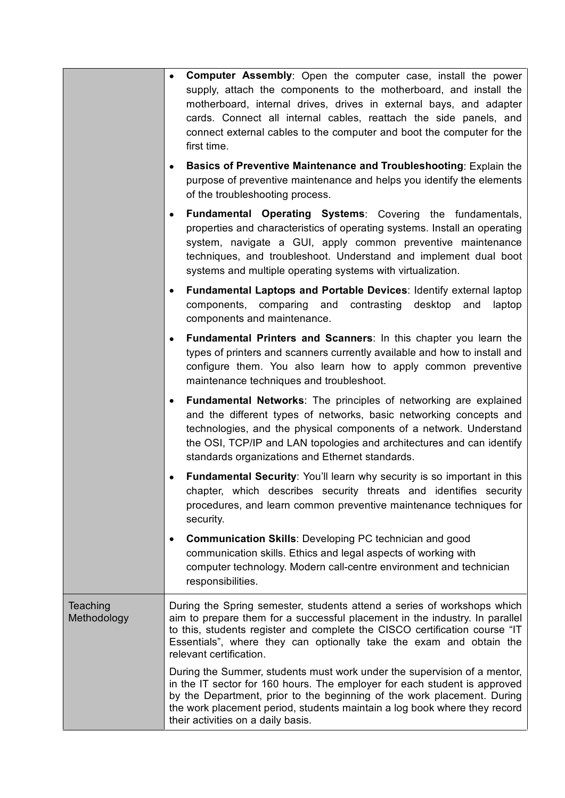|                         | <b>Computer Assembly:</b> Open the computer case, install the power<br>$\bullet$<br>supply, attach the components to the motherboard, and install the<br>motherboard, internal drives, drives in external bays, and adapter<br>cards. Connect all internal cables, reattach the side panels, and<br>connect external cables to the computer and boot the computer for the<br>first time. |
|-------------------------|------------------------------------------------------------------------------------------------------------------------------------------------------------------------------------------------------------------------------------------------------------------------------------------------------------------------------------------------------------------------------------------|
|                         | Basics of Preventive Maintenance and Troubleshooting: Explain the<br>٠<br>purpose of preventive maintenance and helps you identify the elements<br>of the troubleshooting process.                                                                                                                                                                                                       |
|                         | <b>Fundamental Operating Systems:</b> Covering the fundamentals,<br>٠<br>properties and characteristics of operating systems. Install an operating<br>system, navigate a GUI, apply common preventive maintenance<br>techniques, and troubleshoot. Understand and implement dual boot<br>systems and multiple operating systems with virtualization.                                     |
|                         | Fundamental Laptops and Portable Devices: Identify external laptop<br>٠<br>components, comparing<br>and<br>contrasting<br>desktop<br>and<br>laptop<br>components and maintenance.                                                                                                                                                                                                        |
|                         | <b>Fundamental Printers and Scanners:</b> In this chapter you learn the<br>$\bullet$<br>types of printers and scanners currently available and how to install and<br>configure them. You also learn how to apply common preventive<br>maintenance techniques and troubleshoot.                                                                                                           |
|                         | <b>Fundamental Networks:</b> The principles of networking are explained<br>$\bullet$<br>and the different types of networks, basic networking concepts and<br>technologies, and the physical components of a network. Understand<br>the OSI, TCP/IP and LAN topologies and architectures and can identify<br>standards organizations and Ethernet standards.                             |
|                         | Fundamental Security: You'll learn why security is so important in this<br>$\bullet$<br>chapter, which describes security threats and identifies security<br>procedures, and learn common preventive maintenance techniques for<br>security.                                                                                                                                             |
|                         | <b>Communication Skills: Developing PC technician and good</b><br>$\bullet$<br>communication skills. Ethics and legal aspects of working with<br>computer technology. Modern call-centre environment and technician<br>responsibilities.                                                                                                                                                 |
| Teaching<br>Methodology | During the Spring semester, students attend a series of workshops which<br>aim to prepare them for a successful placement in the industry. In parallel<br>to this, students register and complete the CISCO certification course "IT<br>Essentials", where they can optionally take the exam and obtain the<br>relevant certification.                                                   |
|                         | During the Summer, students must work under the supervision of a mentor,<br>in the IT sector for 160 hours. The employer for each student is approved<br>by the Department, prior to the beginning of the work placement. During<br>the work placement period, students maintain a log book where they record<br>their activities on a daily basis.                                      |